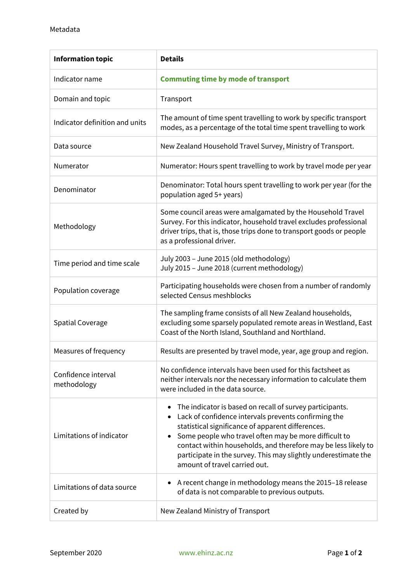| <b>Information topic</b>           | <b>Details</b>                                                                                                                                                                                                                                                                                                                                                                                      |
|------------------------------------|-----------------------------------------------------------------------------------------------------------------------------------------------------------------------------------------------------------------------------------------------------------------------------------------------------------------------------------------------------------------------------------------------------|
| Indicator name                     | <b>Commuting time by mode of transport</b>                                                                                                                                                                                                                                                                                                                                                          |
| Domain and topic                   | Transport                                                                                                                                                                                                                                                                                                                                                                                           |
| Indicator definition and units     | The amount of time spent travelling to work by specific transport<br>modes, as a percentage of the total time spent travelling to work                                                                                                                                                                                                                                                              |
| Data source                        | New Zealand Household Travel Survey, Ministry of Transport.                                                                                                                                                                                                                                                                                                                                         |
| Numerator                          | Numerator: Hours spent travelling to work by travel mode per year                                                                                                                                                                                                                                                                                                                                   |
| Denominator                        | Denominator: Total hours spent travelling to work per year (for the<br>population aged 5+ years)                                                                                                                                                                                                                                                                                                    |
| Methodology                        | Some council areas were amalgamated by the Household Travel<br>Survey. For this indicator, household travel excludes professional<br>driver trips, that is, those trips done to transport goods or people<br>as a professional driver.                                                                                                                                                              |
| Time period and time scale         | July 2003 - June 2015 (old methodology)<br>July 2015 - June 2018 (current methodology)                                                                                                                                                                                                                                                                                                              |
| Population coverage                | Participating households were chosen from a number of randomly<br>selected Census meshblocks                                                                                                                                                                                                                                                                                                        |
| <b>Spatial Coverage</b>            | The sampling frame consists of all New Zealand households,<br>excluding some sparsely populated remote areas in Westland, East<br>Coast of the North Island, Southland and Northland.                                                                                                                                                                                                               |
| Measures of frequency              | Results are presented by travel mode, year, age group and region.                                                                                                                                                                                                                                                                                                                                   |
| Confidence interval<br>methodology | No confidence intervals have been used for this factsheet as<br>neither intervals nor the necessary information to calculate them<br>were included in the data source.                                                                                                                                                                                                                              |
| Limitations of indicator           | The indicator is based on recall of survey participants.<br>Lack of confidence intervals prevents confirming the<br>statistical significance of apparent differences.<br>Some people who travel often may be more difficult to<br>contact within households, and therefore may be less likely to<br>participate in the survey. This may slightly underestimate the<br>amount of travel carried out. |
| Limitations of data source         | A recent change in methodology means the 2015-18 release<br>of data is not comparable to previous outputs.                                                                                                                                                                                                                                                                                          |
| Created by                         | New Zealand Ministry of Transport                                                                                                                                                                                                                                                                                                                                                                   |